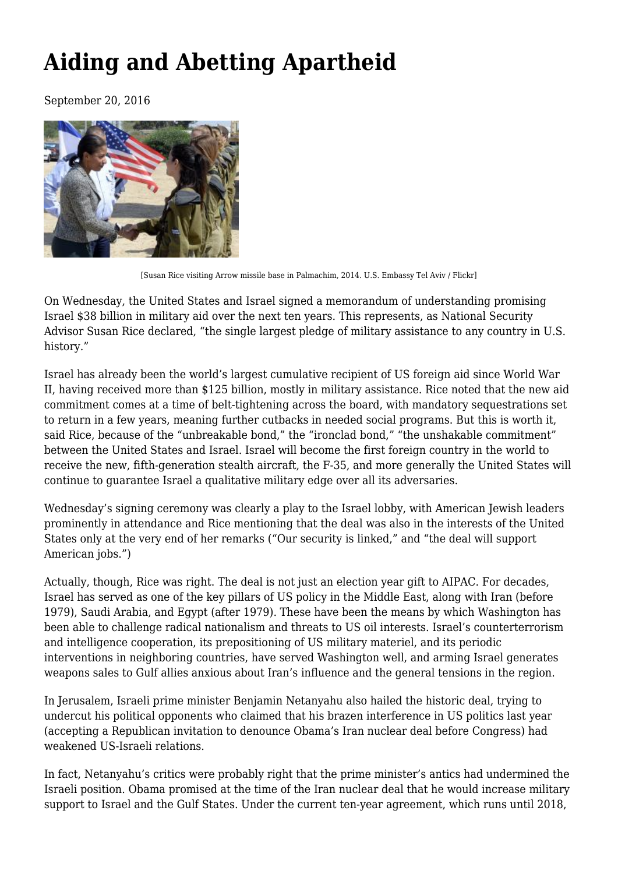## **[Aiding and Abetting Apartheid](https://newpol.org/aiding-and-abetting-apartheid/)**

September 20, 2016



[Susan Rice visiting Arrow missile base in Palmachim, 2014. U.S. Embassy Tel Aviv / Flickr]

On Wednesday, the United States and Israel signed a memorandum of understanding promising Israel \$38 billion in military aid over the next ten years. This represents, as National Security Advisor [Susan Rice declared](http://www.state.gov/p/nea/rls/rm/261928.htm), "the single largest pledge of military assistance to any country in U.S. history."

Israel has already been the world's [largest cumulative recipient](https://www.fas.org/sgp/crs/mideast/RL33222.pdf) of US foreign aid since World War II, having received more than \$125 billion, mostly in military assistance. Rice noted that the new aid commitment comes at a time of [belt-tightening](http://www.state.gov/p/nea/rls/rm/261928.htm) across the board, with mandatory sequestrations set to return in a few years, meaning further cutbacks in needed social programs. But this is worth it, said Rice, because of the "unbreakable bond," the "ironclad bond," "the unshakable commitment" between the United States and Israel. Israel will become the first foreign country in the world to receive the new, fifth-generation stealth aircraft, the F-35, and more generally the United States will continue to guarantee Israel a qualitative military edge over all its adversaries.

Wednesday's signing ceremony was clearly a play to the Israel lobby, with American Jewish leaders prominently in attendance and [Rice mentioning](http://www.state.gov/p/nea/rls/rm/261928.htm) that the deal was also in the interests of the United States only at the very end of her remarks ("Our security is linked," and "the deal will support American jobs.")

Actually, though, Rice was right. The deal is not just an election year gift to AIPAC. For decades, Israel has served as one of the key pillars of US policy in the Middle East, along with Iran (before 1979), Saudi Arabia, and Egypt (after 1979). These have been the means by which Washington has been able to challenge radical nationalism and threats to US oil interests. Israel's counterterrorism and intelligence cooperation, its prepositioning of US military materiel, and its periodic interventions in neighboring countries, have served Washington well, and arming Israel generates weapons sales to Gulf allies anxious about Iran's influence and the general tensions in the region.

In Jerusalem, Israeli prime minister Benjamin Netanyahu also hailed the historic deal, trying to undercut his [political opponents](http://www.ynetnews.com/articles/0,7340,L-4855230,00.html) who claimed that his brazen interference in US politics last year (accepting a Republican invitation to denounce Obama's Iran nuclear deal before Congress) had weakened US-Israeli relations.

In fact, Netanyahu's critics were probably right that the prime minister's antics had undermined the Israeli position. Obama promised at the time of the Iran nuclear deal that he would increase military support to Israel and the Gulf States. Under the current ten-year agreement, which runs until 2018,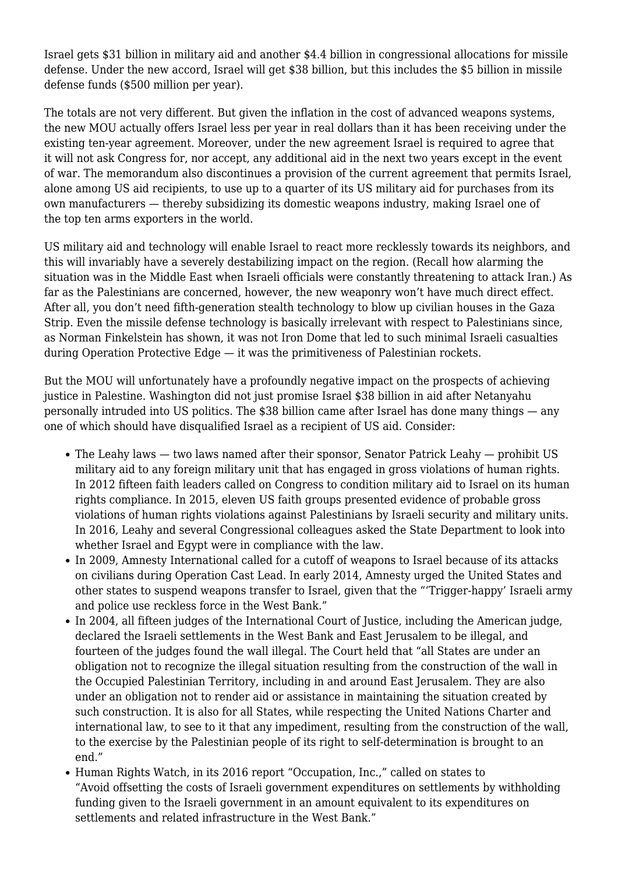Israel gets \$31 billion in military aid and another \$4.4 billion in congressional allocations for missile defense. Under the new accord, Israel will get \$38 billion, but this includes the \$5 billion in missile defense funds (\$500 million per year).

The totals are not very different. But given the inflation in the cost of advanced weapons systems, the new MOU actually offers Israel less per year in real dollars than it has been receiving under the existing ten-year agreement. Moreover, under the new agreement Israel is required to agree that it will [not ask Congress for, nor accept,](https://www.washingtonpost.com/news/josh-rogin/wp/2016/09/14/obama-and-israel-cut-congress-out-of-the-aid-game/) any additional aid in the next two years except in the event of war. The memorandum also [discontinues](https://www.whitehouse.gov/the-press-office/2016/09/14/fact-sheet-memorandum-understanding-reached-israel) a provision of the current agreement that permits Israel, alone among US aid recipients, to use up to a quarter of its US military aid for purchases from its own manufacturers — thereby subsidizing its domestic weapons industry, making Israel one of the [top ten](https://en.wikipedia.org/wiki/Arms_industry#World.27s_largest_arms_exporters) arms exporters in the world.

US military aid and technology will enable Israel to react more recklessly towards its neighbors, and this will invariably have a severely destabilizing impact on the region. (Recall how alarming the situation was in the Middle East when Israeli officials were constantly threatening to [attack](https://www.theguardian.com/world/2008/jun/07/israelandthepalestinians.iran) [Iran.](http://www.cbsnews.com/news/israeli-official-says-military-strike-on-iran-still-possible/)) As far as the Palestinians are concerned, however, the new weaponry won't have much direct effect. After all, you don't need fifth-generation stealth technology to blow up civilian houses in the Gaza Strip. Even the missile defense technology is basically irrelevant with respect to Palestinians since, as [Norman Finkelstein](http://therealnews.com/t2/index.php?option=com_content&task=view&id=31&Itemid=74&jumival=13888) has shown, it was not Iron Dome that led to such minimal Israeli casualties during Operation Protective Edge — it was the primitiveness of Palestinian rockets.

But the MOU will unfortunately have a profoundly negative impact on the prospects of achieving justice in Palestine. Washington did not just promise Israel \$38 billion in aid after Netanyahu personally intruded into US politics. The \$38 billion came after Israel has done many things — any one of which should have disqualified Israel as a recipient of US aid. Consider:

- The [Leahy laws](http://www.humanrights.gov/dyn/03/leahy-fact-sheet/)  two laws named after their sponsor, Senator Patrick Leahy prohibit US military aid to any foreign military unit that has engaged in gross violations of human rights. In 2012 [fifteen faith leaders](https://www.pcusa.org/news/2012/10/5/religious-leaders-ask-congress-condition-israel-mi/) called on Congress to condition military aid to Israel on its human rights compliance. In 2015, [eleven US faith groups](http://maryknollogc.org/statements/eleven-faith-groups-present-instances-probable-gross-violations-human-rights-israeli) presented evidence of probable gross violations of human rights violations against Palestinians by Israeli security and military units. In 2016, [Leahy](http://www.politico.com/f/?id=00000153-c56c-d662-a75b-cfecc6be0000) and several Congressional colleagues asked the State Department to look into whether Israel and Egypt were in compliance with the law.
- In 2009, [Amnesty International](https://www.amnesty.org/en/documents/MDE15/012/2009/en/) called for a cutoff of weapons to Israel because of its attacks on civilians during Operation Cast Lead. In early 2014, [Amnesty](https://www.amnesty.org/en/latest/news/2014/02/trigger-happy-israeli-army-and-police-use-reckless-force-west-bank/) urged the United States and other states to suspend weapons transfer to Israel, given that the "'Trigger-happy' Israeli army and police use reckless force in the West Bank."
- In 2004, [all fifteen judges](http://www.icj-cij.org/docket/files/131/1671.pdf) of the International Court of Justice, including the [American](http://www.icj-cij.org/docket/files/131/1687.pdf) judge, declared the Israeli settlements in the West Bank and East Jerusalem to be illegal, and fourteen of the judges found the wall illegal. The Court held that "all States are under an obligation not to recognize the illegal situation resulting from the construction of the wall in the Occupied Palestinian Territory, including in and around East Jerusalem. They are also under an obligation not to render aid or assistance in maintaining the situation created by such construction. It is also for all States, while respecting the United Nations Charter and international law, to see to it that any impediment, resulting from the construction of the wall, to the exercise by the Palestinian people of its right to self-determination is brought to an end."
- [Human Rights Watch,](https://www.hrw.org/report/2016/01/19/occupation-inc/how-settlement-businesses-contribute-israels-violations-palestinian#5259ae) in its 2016 report "Occupation, Inc.," called on states to "Avoid offsetting the costs of Israeli government expenditures on settlements by withholding funding given to the Israeli government in an amount equivalent to its expenditures on settlements and related infrastructure in the West Bank."